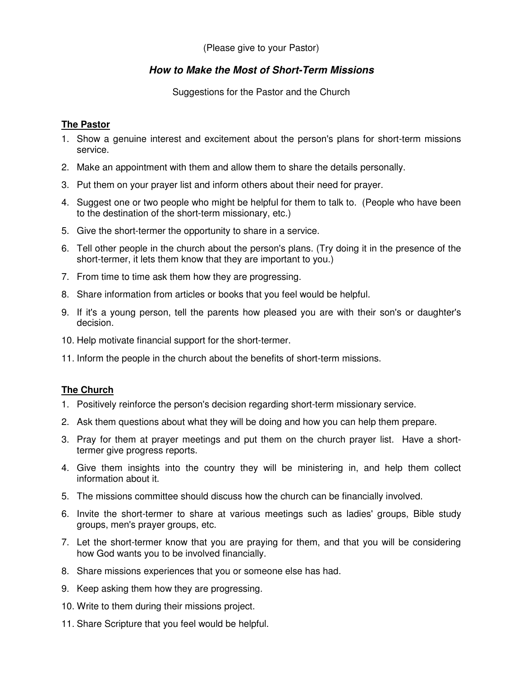(Please give to your Pastor)

## **How to Make the Most of Short-Term Missions**

Suggestions for the Pastor and the Church

## **The Pastor**

- 1. Show a genuine interest and excitement about the person's plans for short-term missions service.
- 2. Make an appointment with them and allow them to share the details personally.
- 3. Put them on your prayer list and inform others about their need for prayer.
- 4. Suggest one or two people who might be helpful for them to talk to. (People who have been to the destination of the short-term missionary, etc.)
- 5. Give the short-termer the opportunity to share in a service.
- 6. Tell other people in the church about the person's plans. (Try doing it in the presence of the short-termer, it lets them know that they are important to you.)
- 7. From time to time ask them how they are progressing.
- 8. Share information from articles or books that you feel would be helpful.
- 9. If it's a young person, tell the parents how pleased you are with their son's or daughter's decision.
- 10. Help motivate financial support for the short-termer.
- 11. Inform the people in the church about the benefits of short-term missions.

## **The Church**

- 1. Positively reinforce the person's decision regarding short-term missionary service.
- 2. Ask them questions about what they will be doing and how you can help them prepare.
- 3. Pray for them at prayer meetings and put them on the church prayer list. Have a shorttermer give progress reports.
- 4. Give them insights into the country they will be ministering in, and help them collect information about it.
- 5. The missions committee should discuss how the church can be financially involved.
- 6. Invite the short-termer to share at various meetings such as ladies' groups, Bible study groups, men's prayer groups, etc.
- 7. Let the short-termer know that you are praying for them, and that you will be considering how God wants you to be involved financially.
- 8. Share missions experiences that you or someone else has had.
- 9. Keep asking them how they are progressing.
- 10. Write to them during their missions project.
- 11. Share Scripture that you feel would be helpful.